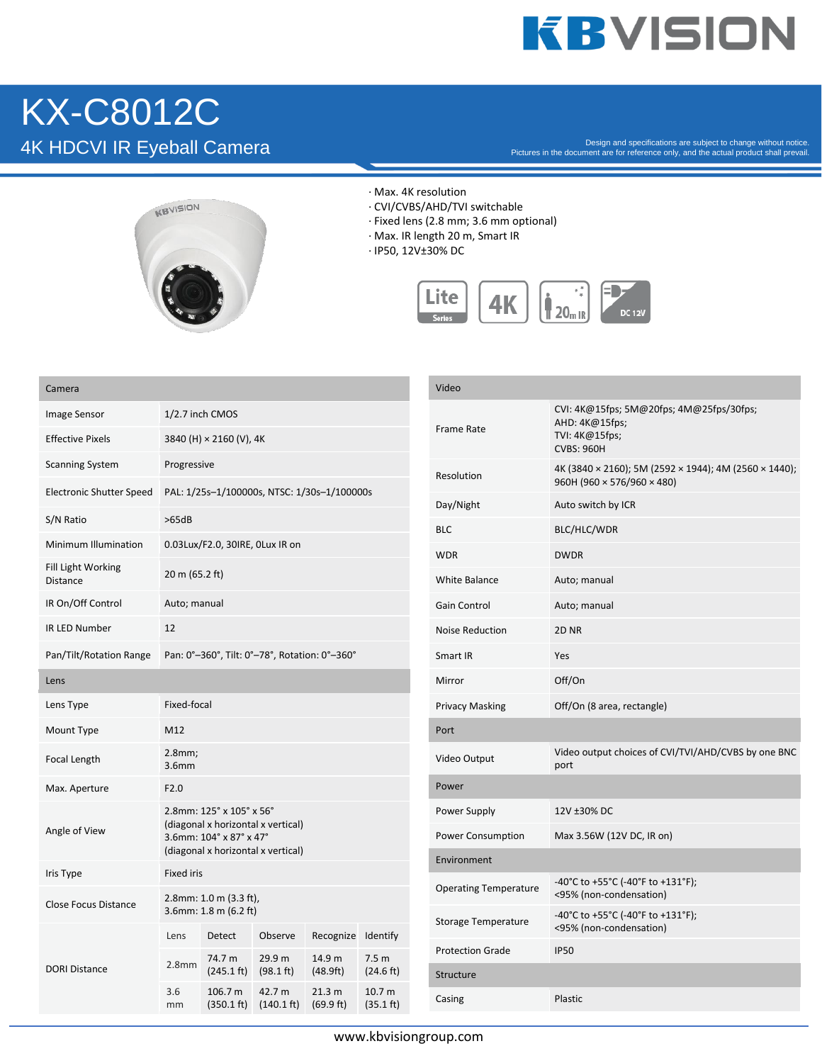## **KBVISION**

# KX-C8012C

 $4K$  HDCVI IR Eyeball Camera  $^{\text{2D}}$  and Specifications are subject to change without notice.



- · Max. 4K resolution
- · CVI/CVBS/AHD/TVI switchable
- · Fixed lens (2.8 mm; 3.6 mm optional)
- · Max. IR length 20 m, Smart IR
- · IP50, 12V±30% DC



| Camera                          |                                                                                                                                 |                                |                                          |                     |                                |
|---------------------------------|---------------------------------------------------------------------------------------------------------------------------------|--------------------------------|------------------------------------------|---------------------|--------------------------------|
| <b>Image Sensor</b>             | 1/2.7 inch CMOS                                                                                                                 |                                |                                          |                     |                                |
| <b>Effective Pixels</b>         | 3840 (H) × 2160 (V), 4K                                                                                                         |                                |                                          |                     |                                |
| <b>Scanning System</b>          | Progressive                                                                                                                     |                                |                                          |                     |                                |
| <b>Electronic Shutter Speed</b> | PAL: 1/25s-1/100000s, NTSC: 1/30s-1/100000s                                                                                     |                                |                                          |                     |                                |
| S/N Ratio                       | >65dB                                                                                                                           |                                |                                          |                     |                                |
| <b>Minimum Illumination</b>     | 0.03Lux/F2.0, 30IRE, 0Lux IR on                                                                                                 |                                |                                          |                     |                                |
| Fill Light Working<br>Distance  | 20 m (65.2 ft)                                                                                                                  |                                |                                          |                     |                                |
| IR On/Off Control               | Auto; manual                                                                                                                    |                                |                                          |                     |                                |
| <b>IR LED Number</b>            | 12                                                                                                                              |                                |                                          |                     |                                |
| Pan/Tilt/Rotation Range         | Pan: 0°-360°, Tilt: 0°-78°, Rotation: 0°-360°                                                                                   |                                |                                          |                     |                                |
| Lens                            |                                                                                                                                 |                                |                                          |                     |                                |
| Lens Type                       | Fixed-focal                                                                                                                     |                                |                                          |                     |                                |
| Mount Type                      | M12                                                                                                                             |                                |                                          |                     |                                |
| Focal Length                    | 2.8mm;<br>3.6 <sub>mm</sub>                                                                                                     |                                |                                          |                     |                                |
| Max. Aperture                   | F2.0                                                                                                                            |                                |                                          |                     |                                |
| Angle of View                   | 2.8mm: 125° x 105° x 56°<br>(diagonal x horizontal x vertical)<br>3.6mm: 104° x 87° x 47°<br>(diagonal x horizontal x vertical) |                                |                                          |                     |                                |
| Iris Type                       | <b>Fixed iris</b>                                                                                                               |                                |                                          |                     |                                |
| <b>Close Focus Distance</b>     | 2.8mm: 1.0 m (3.3 ft),<br>3.6mm: 1.8 m (6.2 ft)                                                                                 |                                |                                          |                     |                                |
| <b>DORI Distance</b>            | Lens                                                                                                                            | Detect                         | Observe                                  | Recognize           | Identify                       |
|                                 | 2.8 <sub>mm</sub>                                                                                                               | 74.7 m<br>$(245.1 \text{ ft})$ | 29.9 <sub>m</sub><br>$(98.1 \text{ ft})$ | 14.9 m<br>(48.9ft)  | 7.5 <sub>m</sub><br>(24.6 ft)  |
|                                 | 3.6<br>mm                                                                                                                       | 106.7 m<br>(350.1 ft)          | 42.7 m<br>$(140.1 \text{ ft})$           | 21.3 m<br>(69.9 ft) | 10.7 <sub>m</sub><br>(35.1 ft) |

| Video                        |                                                                                                   |  |  |  |
|------------------------------|---------------------------------------------------------------------------------------------------|--|--|--|
| <b>Frame Rate</b>            | CVI: 4K@15fps; 5M@20fps; 4M@25fps/30fps;<br>AHD: 4K@15fps;<br>TVI: 4K@15fps;<br><b>CVBS: 960H</b> |  |  |  |
| Resolution                   | 4K (3840 × 2160); 5M (2592 × 1944); 4M (2560 × 1440);<br>960H (960 $\times$ 576/960 $\times$ 480) |  |  |  |
| Day/Night                    | Auto switch by ICR                                                                                |  |  |  |
| <b>BLC</b>                   | BLC/HLC/WDR                                                                                       |  |  |  |
| WDR                          | <b>DWDR</b>                                                                                       |  |  |  |
| White Balance                | Auto; manual                                                                                      |  |  |  |
| Gain Control                 | Auto; manual                                                                                      |  |  |  |
| <b>Noise Reduction</b>       | 2D <sub>NR</sub>                                                                                  |  |  |  |
| Smart IR                     | Yes                                                                                               |  |  |  |
| Mirror                       | Off/On                                                                                            |  |  |  |
| <b>Privacy Masking</b>       | Off/On (8 area, rectangle)                                                                        |  |  |  |
| Port                         |                                                                                                   |  |  |  |
| Video Output                 | Video output choices of CVI/TVI/AHD/CVBS by one BNC<br>port                                       |  |  |  |
| Power                        |                                                                                                   |  |  |  |
| Power Supply                 | 12V ±30% DC                                                                                       |  |  |  |
| <b>Power Consumption</b>     | Max 3.56W (12V DC, IR on)                                                                         |  |  |  |
| Environment                  |                                                                                                   |  |  |  |
| <b>Operating Temperature</b> | -40°C to +55°C (-40°F to +131°F);<br><95% (non-condensation)                                      |  |  |  |
| Storage Temperature          | -40°C to +55°C (-40°F to +131°F);<br><95% (non-condensation)                                      |  |  |  |
| <b>Protection Grade</b>      | <b>IP50</b>                                                                                       |  |  |  |
| Structure                    |                                                                                                   |  |  |  |
| Casing                       | Plastic                                                                                           |  |  |  |